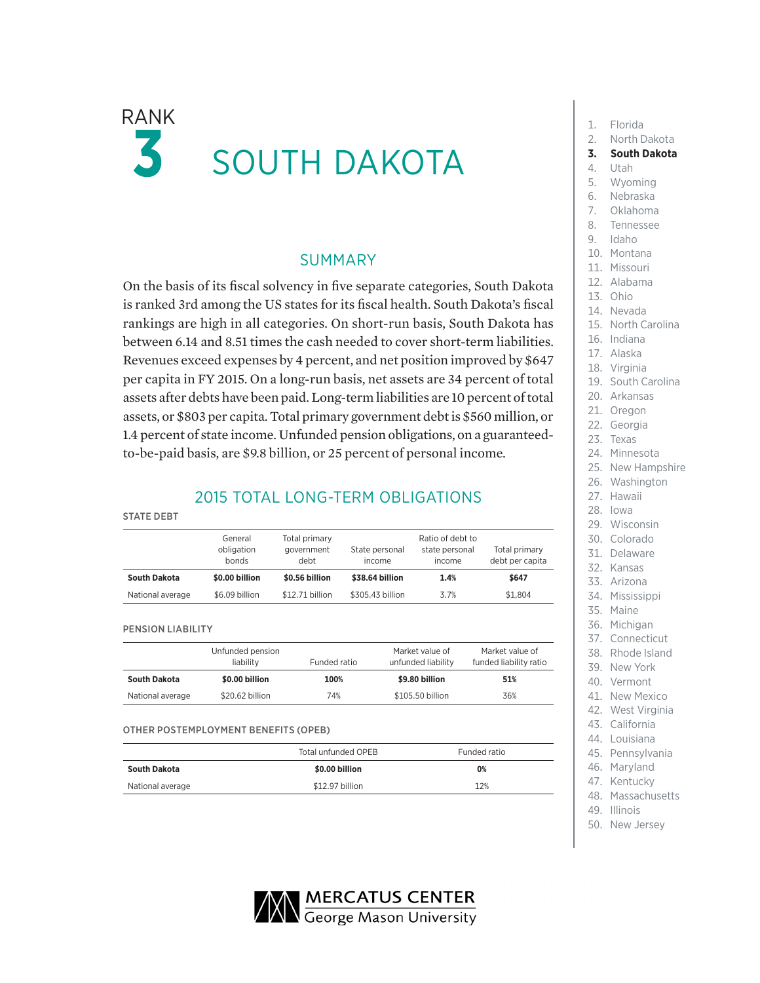# $RANK$  1. Florida K SOUTH DAKOTA

### SUMMARY

On the basis of its fiscal solvency in five separate categories, South Dakota is ranked 3rd among the US states for its fiscal health. South Dakota's fiscal rankings are high in all categories. On short-run basis, South Dakota has between 6.14 and 8.51 times the cash needed to cover short-term liabilities. Revenues exceed expenses by 4 percent, and net position improved by \$647 per capita in FY 2015. On a long-run basis, net assets are 34 percent of total assets after debts have been paid. Long-term liabilities are 10 percent of total assets, or \$803 per capita. Total primary government debt is \$560 million, or 1.4 percent of state income. Unfunded pension obligations, on a guaranteedto-be-paid basis, are \$9.8 billion, or 25 percent of personal income.

## 2015 TOTAL LONG-TERM OBLIGATIONS

#### STATE DEBT General obligation bonds Total primary government debt State personal income Ratio of debt to state personal income Total primary debt per capita **South Dakota \$0.00 billion \$0.56 billion \$38.64 billion 1.4% \$647** National average \$6.09 billion \$12.71 billion \$305.43 billion 3.7% \$1,804

#### PENSION LIABILITY

|                  | Unfunded pension<br>liability | Funded ratio | Market value of<br>unfunded liability | Market value of<br>funded liability ratio |
|------------------|-------------------------------|--------------|---------------------------------------|-------------------------------------------|
| South Dakota     | \$0.00 billion                | 100%         | \$9.80 billion                        | 51%                                       |
| National average | \$20.62 billion               | 74%          | \$105.50 billion                      | 36%                                       |

OTHER POSTEMPLOYMENT BENEFITS (OPEB)

|                  | Total unfunded OPEB | Funded ratio |
|------------------|---------------------|--------------|
| South Dakota     | \$0.00 billion      | 0%           |
| National average | \$12.97 billion     | 12%          |
|                  |                     |              |

- 
- 2. North Dakota
- **3. South Dakota**
- 4. Utah
- 5. Wyoming
- 6. Nebraska
- 7. Oklahoma
- 8. Tennessee
- 9. Idaho
- 10. Montana
- 11. Missouri
- 12. Alabama
- 13. Ohio
- 14. Nevada
- 15. North Carolina
- 16. Indiana
- 17. Alaska
- 18. Virginia
- 19. South Carolina
- 20. Arkansas
- 21. Oregon
- 22. Georgia
- 23. Texas
- 24. Minnesota
- 25. New Hampshire
- 26. Washington
- 27. Hawaii
- 28. Iowa
- 29. Wisconsin
- 30. Colorado
- 31. Delaware
- 32. Kansas
- 33. Arizona
- 34. Mississippi
- 35. Maine
- 36. Michigan
- 37. Connecticut
- 38. Rhode Island
- 39. New York
- 40. Vermont
- 41. New Mexico
- 42. West Virginia
- 43. California
- 44. Louisiana
- 45. Pennsylvania
- 46. Maryland 47. Kentucky
- 48. Massachusetts
- 49. Illinois
- 50. New Jersey